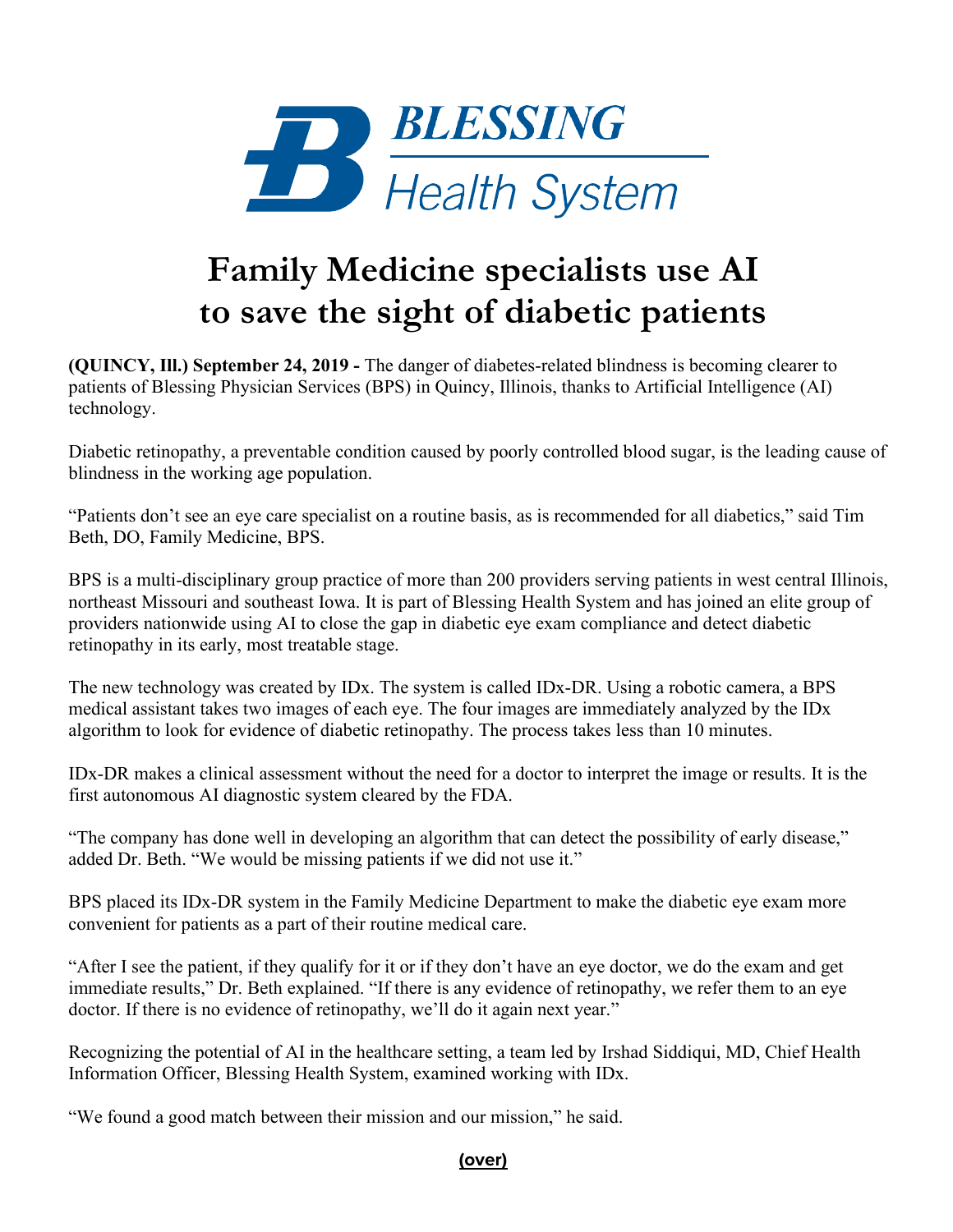

## **Family Medicine specialists use AI to save the sight of diabetic patients**

**(QUINCY, Ill.) September 24, 2019 -** The danger of diabetes-related blindness is becoming clearer to patients of Blessing Physician Services (BPS) in Quincy, Illinois, thanks to Artificial Intelligence (AI) technology.

Diabetic retinopathy, a preventable condition caused by poorly controlled blood sugar, is the leading cause of blindness in the working age population.

"Patients don't see an eye care specialist on a routine basis, as is recommended for all diabetics," said Tim Beth, DO, Family Medicine, BPS.

BPS is a multi-disciplinary group practice of more than 200 providers serving patients in west central Illinois, northeast Missouri and southeast Iowa. It is part of Blessing Health System and has joined an elite group of providers nationwide using AI to close the gap in diabetic eye exam compliance and detect diabetic retinopathy in its early, most treatable stage.

The new technology was created by IDx. The system is called IDx-DR. Using a robotic camera, a BPS medical assistant takes two images of each eye. The four images are immediately analyzed by the IDx algorithm to look for evidence of diabetic retinopathy. The process takes less than 10 minutes.

IDx-DR makes a clinical assessment without the need for a doctor to interpret the image or results. It is the first autonomous AI diagnostic system cleared by the FDA.

"The company has done well in developing an algorithm that can detect the possibility of early disease," added Dr. Beth. "We would be missing patients if we did not use it."

BPS placed its IDx-DR system in the Family Medicine Department to make the diabetic eye exam more convenient for patients as a part of their routine medical care.

"After I see the patient, if they qualify for it or if they don't have an eye doctor, we do the exam and get immediate results," Dr. Beth explained. "If there is any evidence of retinopathy, we refer them to an eye doctor. If there is no evidence of retinopathy, we'll do it again next year."

Recognizing the potential of AI in the healthcare setting, a team led by Irshad Siddiqui, MD, Chief Health Information Officer, Blessing Health System, examined working with IDx.

"We found a good match between their mission and our mission," he said.

## **(over)**